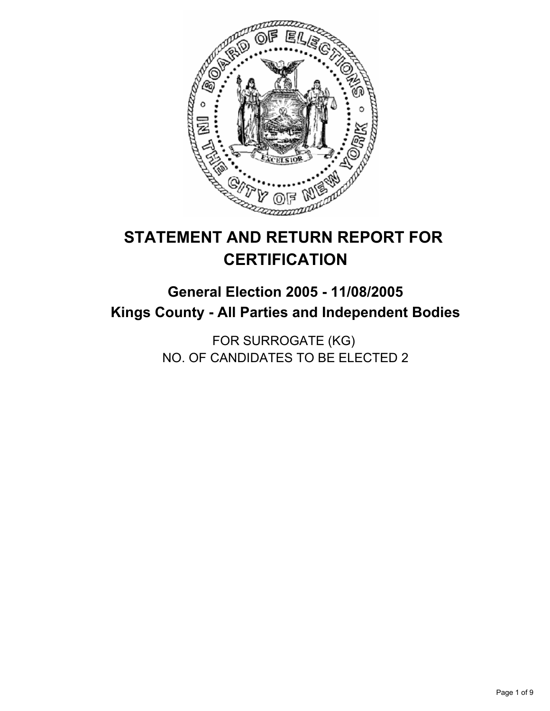

# **STATEMENT AND RETURN REPORT FOR CERTIFICATION**

# **General Election 2005 - 11/08/2005 Kings County - All Parties and Independent Bodies**

FOR SURROGATE (KG) NO. OF CANDIDATES TO BE ELECTED 2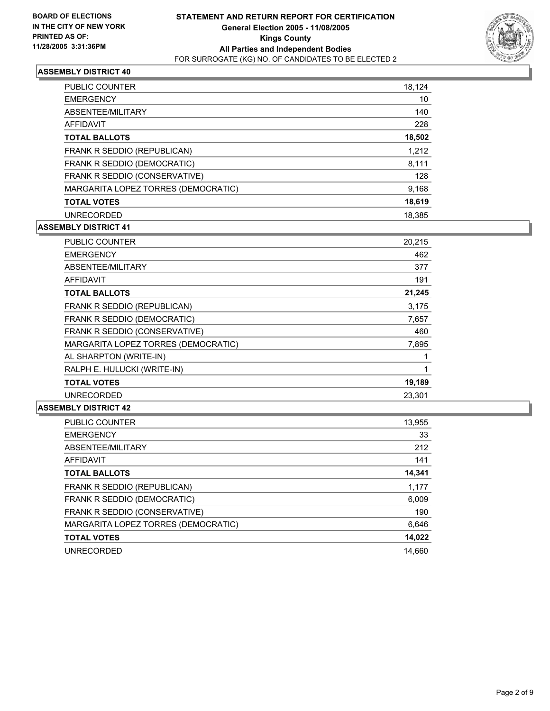

| <b>PUBLIC COUNTER</b>               | 18,124 |
|-------------------------------------|--------|
| <b>EMERGENCY</b>                    | 10     |
| ABSENTEE/MILITARY                   | 140    |
| AFFIDAVIT                           | 228    |
| <b>TOTAL BALLOTS</b>                | 18,502 |
| FRANK R SEDDIO (REPUBLICAN)         | 1,212  |
| FRANK R SEDDIO (DEMOCRATIC)         | 8,111  |
| FRANK R SEDDIO (CONSERVATIVE)       | 128    |
| MARGARITA LOPEZ TORRES (DEMOCRATIC) | 9,168  |
| <b>TOTAL VOTES</b>                  | 18,619 |
| <b>UNRECORDED</b>                   | 18.385 |

# **ASSEMBLY DISTRICT 41**

| <b>PUBLIC COUNTER</b>               | 20,215 |  |
|-------------------------------------|--------|--|
| <b>EMERGENCY</b>                    | 462    |  |
| ABSENTEE/MILITARY                   | 377    |  |
| AFFIDAVIT                           | 191    |  |
| <b>TOTAL BALLOTS</b>                | 21,245 |  |
| FRANK R SEDDIO (REPUBLICAN)         | 3,175  |  |
| FRANK R SEDDIO (DEMOCRATIC)         | 7,657  |  |
| FRANK R SEDDIO (CONSERVATIVE)       | 460    |  |
| MARGARITA LOPEZ TORRES (DEMOCRATIC) | 7,895  |  |
| AL SHARPTON (WRITE-IN)              |        |  |
| RALPH E. HULUCKI (WRITE-IN)         |        |  |
| <b>TOTAL VOTES</b>                  | 19,189 |  |
| <b>UNRECORDED</b>                   | 23,301 |  |

| 13,955 |
|--------|
| 33     |
| 212    |
| 141    |
| 14,341 |
| 1,177  |
| 6,009  |
| 190    |
| 6,646  |
| 14,022 |
| 14.660 |
|        |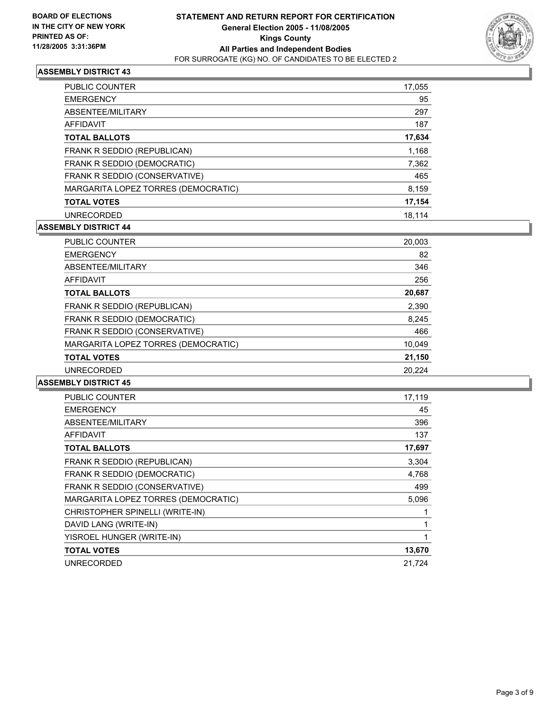

| <b>PUBLIC COUNTER</b>               | 17,055 |
|-------------------------------------|--------|
| <b>EMERGENCY</b>                    | 95     |
| ABSENTEE/MILITARY                   | 297    |
| AFFIDAVIT                           | 187    |
| <b>TOTAL BALLOTS</b>                | 17,634 |
| FRANK R SEDDIO (REPUBLICAN)         | 1,168  |
| FRANK R SEDDIO (DEMOCRATIC)         | 7,362  |
| FRANK R SEDDIO (CONSERVATIVE)       | 465    |
| MARGARITA LOPEZ TORRES (DEMOCRATIC) | 8,159  |
| <b>TOTAL VOTES</b>                  | 17,154 |
| <b>UNRECORDED</b>                   | 18.114 |

# **ASSEMBLY DISTRICT 44**

| <b>PUBLIC COUNTER</b>               | 20,003 |
|-------------------------------------|--------|
| <b>EMERGENCY</b>                    | 82     |
| ABSENTEE/MILITARY                   | 346    |
| AFFIDAVIT                           | 256    |
| <b>TOTAL BALLOTS</b>                | 20,687 |
| FRANK R SEDDIO (REPUBLICAN)         | 2,390  |
| FRANK R SEDDIO (DEMOCRATIC)         | 8,245  |
| FRANK R SEDDIO (CONSERVATIVE)       | 466    |
| MARGARITA LOPEZ TORRES (DEMOCRATIC) | 10,049 |
| <b>TOTAL VOTES</b>                  | 21,150 |
| <b>UNRECORDED</b>                   | 20.224 |

| PUBLIC COUNTER                      | 17,119 |
|-------------------------------------|--------|
| <b>EMERGENCY</b>                    | 45     |
| ABSENTEE/MILITARY                   | 396    |
| AFFIDAVIT                           | 137    |
| <b>TOTAL BALLOTS</b>                | 17,697 |
| FRANK R SEDDIO (REPUBLICAN)         | 3,304  |
| FRANK R SEDDIO (DEMOCRATIC)         | 4,768  |
| FRANK R SEDDIO (CONSERVATIVE)       | 499    |
| MARGARITA LOPEZ TORRES (DEMOCRATIC) | 5,096  |
| CHRISTOPHER SPINELLI (WRITE-IN)     |        |
| DAVID LANG (WRITE-IN)               |        |
| YISROEL HUNGER (WRITE-IN)           |        |
| <b>TOTAL VOTES</b>                  | 13,670 |
| <b>UNRECORDED</b>                   | 21,724 |
|                                     |        |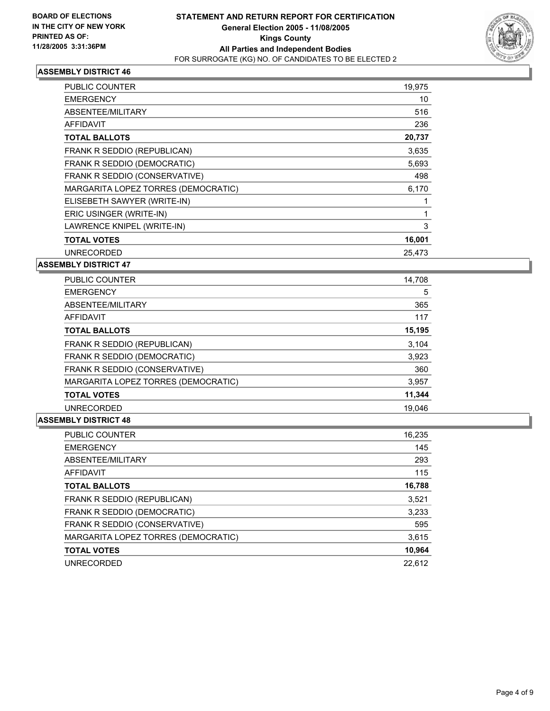

| PUBLIC COUNTER                      | 19,975 |
|-------------------------------------|--------|
| <b>EMERGENCY</b>                    | 10     |
| ABSENTEE/MILITARY                   | 516    |
| AFFIDAVIT                           | 236    |
| <b>TOTAL BALLOTS</b>                | 20,737 |
| FRANK R SEDDIO (REPUBLICAN)         | 3,635  |
| FRANK R SEDDIO (DEMOCRATIC)         | 5,693  |
| FRANK R SEDDIO (CONSERVATIVE)       | 498    |
| MARGARITA LOPEZ TORRES (DEMOCRATIC) | 6,170  |
| ELISEBETH SAWYER (WRITE-IN)         |        |
| ERIC USINGER (WRITE-IN)             |        |
| LAWRENCE KNIPEL (WRITE-IN)          | 3      |
| <b>TOTAL VOTES</b>                  | 16,001 |
| <b>UNRECORDED</b>                   | 25,473 |

**ASSEMBLY DISTRICT 47**

| <b>PUBLIC COUNTER</b>               | 14,708 |
|-------------------------------------|--------|
| <b>EMERGENCY</b>                    | 5      |
| ABSENTEE/MILITARY                   | 365    |
| AFFIDAVIT                           | 117    |
| <b>TOTAL BALLOTS</b>                | 15,195 |
| FRANK R SEDDIO (REPUBLICAN)         | 3,104  |
| FRANK R SEDDIO (DEMOCRATIC)         | 3,923  |
| FRANK R SEDDIO (CONSERVATIVE)       | 360    |
| MARGARITA LOPEZ TORRES (DEMOCRATIC) | 3,957  |
| <b>TOTAL VOTES</b>                  | 11,344 |
| <b>UNRECORDED</b>                   | 19.046 |

| <b>PUBLIC COUNTER</b>               | 16,235 |
|-------------------------------------|--------|
| <b>EMERGENCY</b>                    | 145    |
| ABSENTEE/MILITARY                   | 293    |
| AFFIDAVIT                           | 115    |
| <b>TOTAL BALLOTS</b>                | 16,788 |
| FRANK R SEDDIO (REPUBLICAN)         | 3,521  |
| FRANK R SEDDIO (DEMOCRATIC)         | 3,233  |
| FRANK R SEDDIO (CONSERVATIVE)       | 595    |
| MARGARITA LOPEZ TORRES (DEMOCRATIC) | 3,615  |
| <b>TOTAL VOTES</b>                  | 10,964 |
| <b>UNRECORDED</b>                   | 22.612 |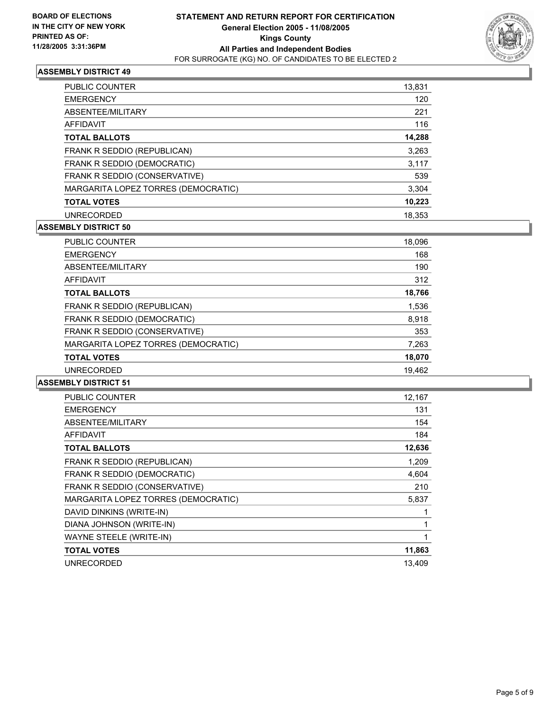

| <b>PUBLIC COUNTER</b>               | 13,831 |
|-------------------------------------|--------|
| <b>EMERGENCY</b>                    | 120    |
| ABSENTEE/MILITARY                   | 221    |
| AFFIDAVIT                           | 116    |
| <b>TOTAL BALLOTS</b>                | 14,288 |
| FRANK R SEDDIO (REPUBLICAN)         | 3,263  |
| FRANK R SEDDIO (DEMOCRATIC)         | 3,117  |
| FRANK R SEDDIO (CONSERVATIVE)       | 539    |
| MARGARITA LOPEZ TORRES (DEMOCRATIC) | 3,304  |
| <b>TOTAL VOTES</b>                  | 10,223 |
| <b>UNRECORDED</b>                   | 18.353 |

# **ASSEMBLY DISTRICT 50**

| <b>PUBLIC COUNTER</b>               | 18,096 |
|-------------------------------------|--------|
| <b>EMERGENCY</b>                    | 168    |
| ABSENTEE/MILITARY                   | 190    |
| AFFIDAVIT                           | 312    |
| <b>TOTAL BALLOTS</b>                | 18,766 |
| FRANK R SEDDIO (REPUBLICAN)         | 1,536  |
| FRANK R SEDDIO (DEMOCRATIC)         | 8,918  |
| FRANK R SEDDIO (CONSERVATIVE)       | 353    |
| MARGARITA LOPEZ TORRES (DEMOCRATIC) | 7,263  |
| <b>TOTAL VOTES</b>                  | 18,070 |
| <b>UNRECORDED</b>                   | 19,462 |
|                                     |        |

| PUBLIC COUNTER                      | 12,167 |
|-------------------------------------|--------|
| <b>EMERGENCY</b>                    | 131    |
| ABSENTEE/MILITARY                   | 154    |
| AFFIDAVIT                           | 184    |
| <b>TOTAL BALLOTS</b>                | 12,636 |
| FRANK R SEDDIO (REPUBLICAN)         | 1,209  |
| FRANK R SEDDIO (DEMOCRATIC)         | 4,604  |
| FRANK R SEDDIO (CONSERVATIVE)       | 210    |
| MARGARITA LOPEZ TORRES (DEMOCRATIC) | 5,837  |
| DAVID DINKINS (WRITE-IN)            |        |
| DIANA JOHNSON (WRITE-IN)            |        |
| WAYNE STEELE (WRITE-IN)             |        |
| <b>TOTAL VOTES</b>                  | 11,863 |
| <b>UNRECORDED</b>                   | 13.409 |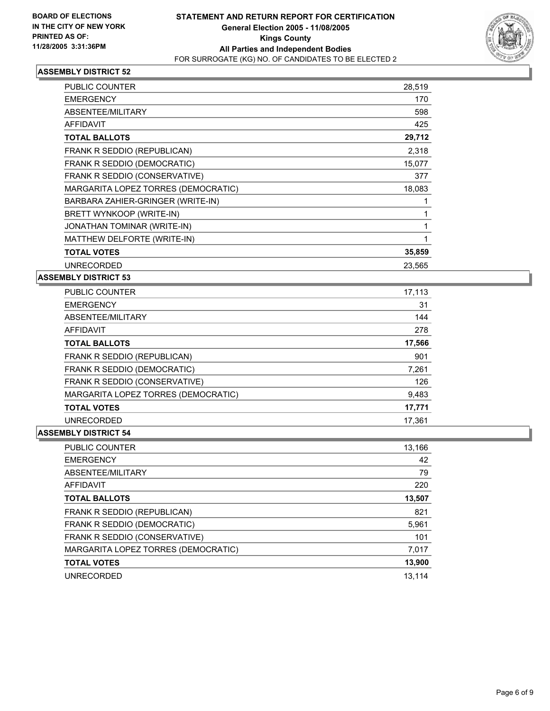

| PUBLIC COUNTER                      | 28,519 |
|-------------------------------------|--------|
| <b>EMERGENCY</b>                    | 170    |
| ABSENTEE/MILITARY                   | 598    |
| AFFIDAVIT                           | 425    |
| <b>TOTAL BALLOTS</b>                | 29,712 |
| FRANK R SEDDIO (REPUBLICAN)         | 2,318  |
| FRANK R SEDDIO (DEMOCRATIC)         | 15,077 |
| FRANK R SEDDIO (CONSERVATIVE)       | 377    |
| MARGARITA LOPEZ TORRES (DEMOCRATIC) | 18,083 |
| BARBARA ZAHIER-GRINGER (WRITE-IN)   |        |
| BRETT WYNKOOP (WRITE-IN)            |        |
| JONATHAN TOMINAR (WRITE-IN)         |        |
| MATTHEW DELFORTE (WRITE-IN)         |        |
| <b>TOTAL VOTES</b>                  | 35,859 |
| <b>UNRECORDED</b>                   | 23,565 |

# **ASSEMBLY DISTRICT 53**

| PUBLIC COUNTER                      | 17,113 |
|-------------------------------------|--------|
| <b>EMERGENCY</b>                    | 31     |
| ABSENTEE/MILITARY                   | 144    |
| AFFIDAVIT                           | 278    |
| <b>TOTAL BALLOTS</b>                | 17,566 |
| FRANK R SEDDIO (REPUBLICAN)         | 901    |
| FRANK R SEDDIO (DEMOCRATIC)         | 7,261  |
| FRANK R SEDDIO (CONSERVATIVE)       | 126    |
| MARGARITA LOPEZ TORRES (DEMOCRATIC) | 9,483  |
| <b>TOTAL VOTES</b>                  | 17,771 |
| <b>UNRECORDED</b>                   | 17.361 |

| <b>PUBLIC COUNTER</b>               | 13,166 |
|-------------------------------------|--------|
| <b>EMERGENCY</b>                    | 42     |
| ABSENTEE/MILITARY                   | 79     |
| AFFIDAVIT                           | 220    |
| <b>TOTAL BALLOTS</b>                | 13,507 |
| FRANK R SEDDIO (REPUBLICAN)         | 821    |
| FRANK R SEDDIO (DEMOCRATIC)         | 5,961  |
| FRANK R SEDDIO (CONSERVATIVE)       | 101    |
| MARGARITA LOPEZ TORRES (DEMOCRATIC) | 7,017  |
| <b>TOTAL VOTES</b>                  | 13,900 |
| <b>UNRECORDED</b>                   | 13.114 |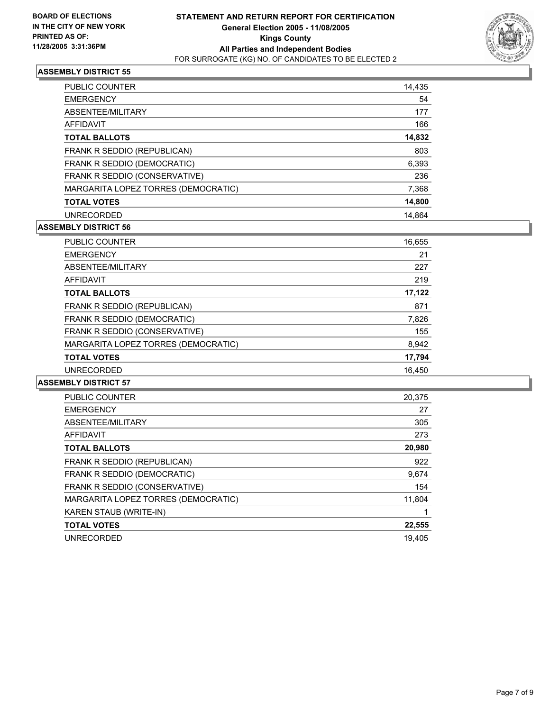

| PUBLIC COUNTER                      | 14,435 |
|-------------------------------------|--------|
| <b>EMERGENCY</b>                    | 54     |
| ABSENTEE/MILITARY                   | 177    |
| AFFIDAVIT                           | 166    |
| <b>TOTAL BALLOTS</b>                | 14,832 |
| FRANK R SEDDIO (REPUBLICAN)         | 803    |
| FRANK R SEDDIO (DEMOCRATIC)         | 6,393  |
| FRANK R SEDDIO (CONSERVATIVE)       | 236    |
| MARGARITA LOPEZ TORRES (DEMOCRATIC) | 7,368  |
| <b>TOTAL VOTES</b>                  | 14,800 |
| <b>UNRECORDED</b>                   | 14.864 |

# **ASSEMBLY DISTRICT 56**

| <b>PUBLIC COUNTER</b>               | 16,655 |
|-------------------------------------|--------|
| <b>EMERGENCY</b>                    | 21     |
| ABSENTEE/MILITARY                   | 227    |
| AFFIDAVIT                           | 219    |
| <b>TOTAL BALLOTS</b>                | 17,122 |
| FRANK R SEDDIO (REPUBLICAN)         | 871    |
| FRANK R SEDDIO (DEMOCRATIC)         | 7,826  |
| FRANK R SEDDIO (CONSERVATIVE)       | 155    |
| MARGARITA LOPEZ TORRES (DEMOCRATIC) | 8,942  |
| <b>TOTAL VOTES</b>                  | 17,794 |
| <b>UNRECORDED</b>                   | 16,450 |
|                                     |        |

| <b>PUBLIC COUNTER</b>               | 20,375 |
|-------------------------------------|--------|
| <b>EMERGENCY</b>                    | 27     |
| ABSENTEE/MILITARY                   | 305    |
| <b>AFFIDAVIT</b>                    | 273    |
| <b>TOTAL BALLOTS</b>                | 20,980 |
| FRANK R SEDDIO (REPUBLICAN)         | 922    |
| FRANK R SEDDIO (DEMOCRATIC)         | 9,674  |
| FRANK R SEDDIO (CONSERVATIVE)       | 154    |
| MARGARITA LOPEZ TORRES (DEMOCRATIC) | 11,804 |
| KAREN STAUB (WRITE-IN)              |        |
| <b>TOTAL VOTES</b>                  | 22,555 |
| <b>UNRECORDED</b>                   | 19.405 |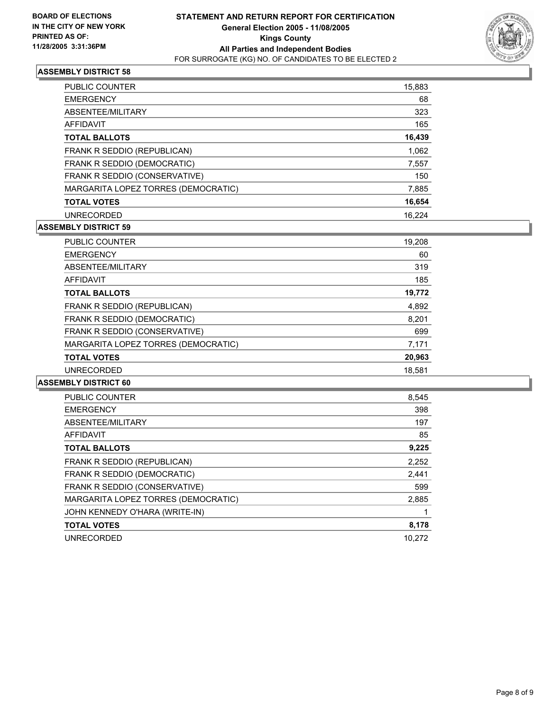

| <b>PUBLIC COUNTER</b>               | 15,883 |
|-------------------------------------|--------|
| <b>EMERGENCY</b>                    | 68     |
| ABSENTEE/MILITARY                   | 323    |
| AFFIDAVIT                           | 165    |
| <b>TOTAL BALLOTS</b>                | 16,439 |
| FRANK R SEDDIO (REPUBLICAN)         | 1,062  |
| FRANK R SEDDIO (DEMOCRATIC)         | 7,557  |
| FRANK R SEDDIO (CONSERVATIVE)       | 150    |
| MARGARITA LOPEZ TORRES (DEMOCRATIC) | 7,885  |
| <b>TOTAL VOTES</b>                  | 16,654 |
| <b>UNRECORDED</b>                   | 16.224 |

# **ASSEMBLY DISTRICT 59**

| <b>PUBLIC COUNTER</b>               | 19,208 |
|-------------------------------------|--------|
| <b>EMERGENCY</b>                    | 60     |
| ABSENTEE/MILITARY                   | 319    |
| AFFIDAVIT                           | 185    |
| <b>TOTAL BALLOTS</b>                | 19,772 |
| FRANK R SEDDIO (REPUBLICAN)         | 4,892  |
| FRANK R SEDDIO (DEMOCRATIC)         | 8,201  |
| FRANK R SEDDIO (CONSERVATIVE)       | 699    |
| MARGARITA LOPEZ TORRES (DEMOCRATIC) | 7,171  |
| <b>TOTAL VOTES</b>                  | 20,963 |
| <b>UNRECORDED</b>                   | 18,581 |

| <b>PUBLIC COUNTER</b>               | 8,545  |
|-------------------------------------|--------|
| <b>EMERGENCY</b>                    | 398    |
| ABSENTEE/MILITARY                   | 197    |
| AFFIDAVIT                           | 85     |
| <b>TOTAL BALLOTS</b>                | 9,225  |
| FRANK R SEDDIO (REPUBLICAN)         | 2,252  |
| FRANK R SEDDIO (DEMOCRATIC)         | 2,441  |
| FRANK R SEDDIO (CONSERVATIVE)       | 599    |
| MARGARITA LOPEZ TORRES (DEMOCRATIC) | 2,885  |
| JOHN KENNEDY O'HARA (WRITE-IN)      |        |
| <b>TOTAL VOTES</b>                  | 8,178  |
| <b>UNRECORDED</b>                   | 10.272 |